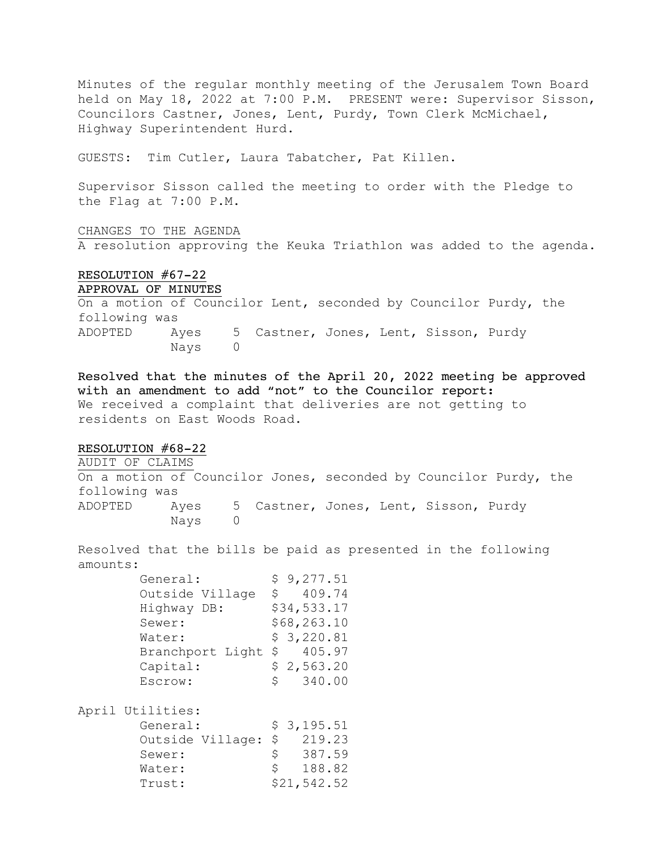Minutes of the regular monthly meeting of the Jerusalem Town Board held on May 18, 2022 at 7:00 P.M. PRESENT were: Supervisor Sisson, Councilors Castner, Jones, Lent, Purdy, Town Clerk McMichael, Highway Superintendent Hurd.

GUESTS: Tim Cutler, Laura Tabatcher, Pat Killen.

Supervisor Sisson called the meeting to order with the Pledge to the Flag at 7:00 P.M.

#### CHANGES TO THE AGENDA

A resolution approving the Keuka Triathlon was added to the agenda.

# RESOLUTION #67-22

```
APPROVAL OF MINUTES
```
On a motion of Councilor Lent, seconded by Councilor Purdy, the following was ADOPTED Ayes 5 Castner, Jones, Lent, Sisson, Purdy Nays 0

Resolved that the minutes of the April 20, 2022 meeting be approved with an amendment to add "not" to the Councilor report: We received a complaint that deliveries are not getting to residents on East Woods Road.

### RESOLUTION #68-22

AUDIT OF CLAIMS On a motion of Councilor Jones, seconded by Councilor Purdy, the following was ADOPTED Ayes 5 Castner, Jones, Lent, Sisson, Purdy Nays 0

Resolved that the bills be paid as presented in the following amounts:

| General:            | \$9,277.51   |
|---------------------|--------------|
| Outside Village     | 409.74<br>S. |
| Highway DB:         | \$34,533.17  |
| Sewer:              | \$68,263.10  |
| Water:              | \$3,220.81   |
| Branchport Light \$ | 405.97       |
| Capital:            | \$2,563.20   |
| Escrow:             | 340.00<br>S  |
|                     |              |

April Utilities:

| General: |                     |    | \$3,195.51  |
|----------|---------------------|----|-------------|
|          | Outside Village: \$ |    | 219.23      |
| Sewer:   |                     | S. | 387.59      |
| Water:   |                     | S  | 188.82      |
| Trust:   |                     |    | \$21,542.52 |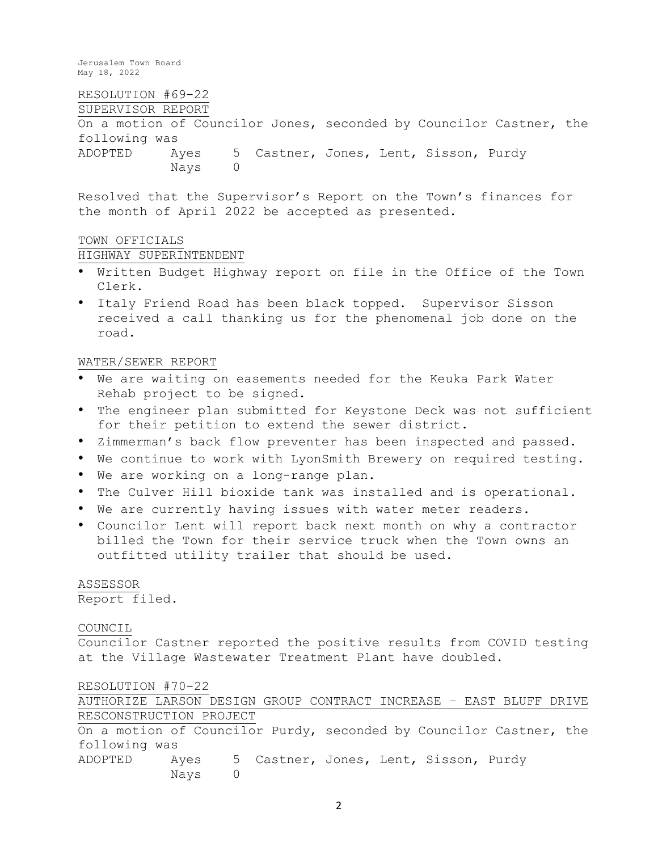RESOLUTION #69-22 SUPERVISOR REPORT On a motion of Councilor Jones, seconded by Councilor Castner, the following was ADOPTED Ayes 5 Castner, Jones, Lent, Sisson, Purdy Nays 0

Resolved that the Supervisor's Report on the Town's finances for the month of April 2022 be accepted as presented.

### TOWN OFFICIALS

HIGHWAY SUPERINTENDENT

- Written Budget Highway report on file in the Office of the Town Clerk.
- Italy Friend Road has been black topped. Supervisor Sisson received a call thanking us for the phenomenal job done on the road.

## WATER/SEWER REPORT

- We are waiting on easements needed for the Keuka Park Water Rehab project to be signed.
- The engineer plan submitted for Keystone Deck was not sufficient for their petition to extend the sewer district.
- Zimmerman's back flow preventer has been inspected and passed.
- We continue to work with LyonSmith Brewery on required testing.
- We are working on a long-range plan.
- The Culver Hill bioxide tank was installed and is operational.
- We are currently having issues with water meter readers.
- Councilor Lent will report back next month on why a contractor billed the Town for their service truck when the Town owns an outfitted utility trailer that should be used.

## ASSESSOR Report filed.

## COUNCIL

Councilor Castner reported the positive results from COVID testing at the Village Wastewater Treatment Plant have doubled.

### RESOLUTION #70-22

AUTHORIZE LARSON DESIGN GROUP CONTRACT INCREASE – EAST BLUFF DRIVE RESCONSTRUCTION PROJECT On a motion of Councilor Purdy, seconded by Councilor Castner, the following was ADOPTED Ayes 5 Castner, Jones, Lent, Sisson, Purdy Nays 0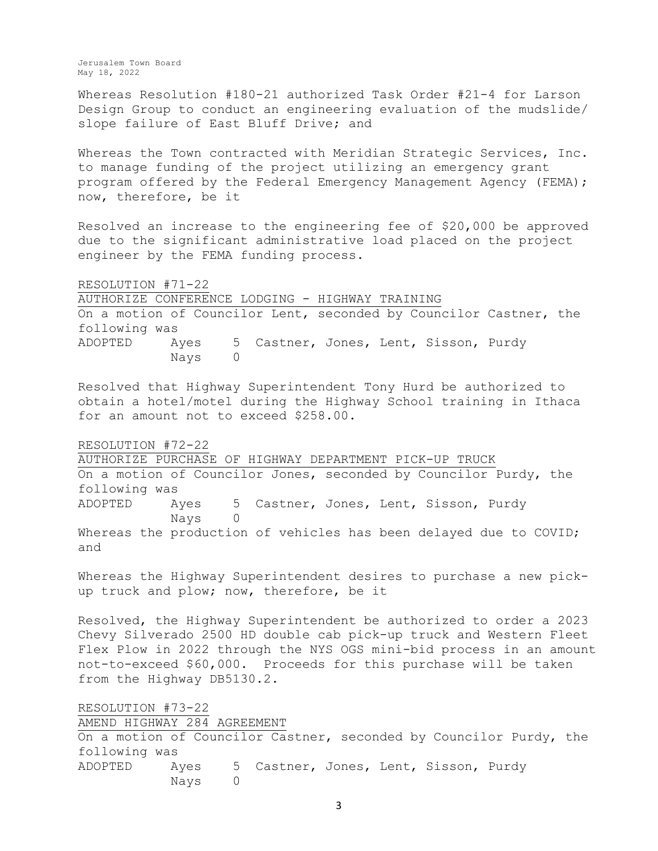Whereas Resolution #180-21 authorized Task Order #21-4 for Larson Design Group to conduct an engineering evaluation of the mudslide/ slope failure of East Bluff Drive; and

Whereas the Town contracted with Meridian Strategic Services, Inc. to manage funding of the project utilizing an emergency grant program offered by the Federal Emergency Management Agency (FEMA); now, therefore, be it

Resolved an increase to the engineering fee of \$20,000 be approved due to the significant administrative load placed on the project engineer by the FEMA funding process.

RESOLUTION #71-22 AUTHORIZE CONFERENCE LODGING - HIGHWAY TRAINING On a motion of Councilor Lent, seconded by Councilor Castner, the following was ADOPTED Ayes 5 Castner, Jones, Lent, Sisson, Purdy Nays 0

Resolved that Highway Superintendent Tony Hurd be authorized to obtain a hotel/motel during the Highway School training in Ithaca for an amount not to exceed \$258.00.

RESOLUTION #72-22

AUTHORIZE PURCHASE OF HIGHWAY DEPARTMENT PICK-UP TRUCK On a motion of Councilor Jones, seconded by Councilor Purdy, the following was ADOPTED Ayes 5 Castner, Jones, Lent, Sisson, Purdy Nays 0 Whereas the production of vehicles has been delayed due to COVID; and

Whereas the Highway Superintendent desires to purchase a new pickup truck and plow; now, therefore, be it

Resolved, the Highway Superintendent be authorized to order a 2023 Chevy Silverado 2500 HD double cab pick-up truck and Western Fleet Flex Plow in 2022 through the NYS OGS mini-bid process in an amount not-to-exceed \$60,000. Proceeds for this purchase will be taken from the Highway DB5130.2.

RESOLUTION #73-22 AMEND HIGHWAY 284 AGREEMENT On a motion of Councilor Castner, seconded by Councilor Purdy, the following was ADOPTED Ayes 5 Castner, Jones, Lent, Sisson, Purdy Nays 0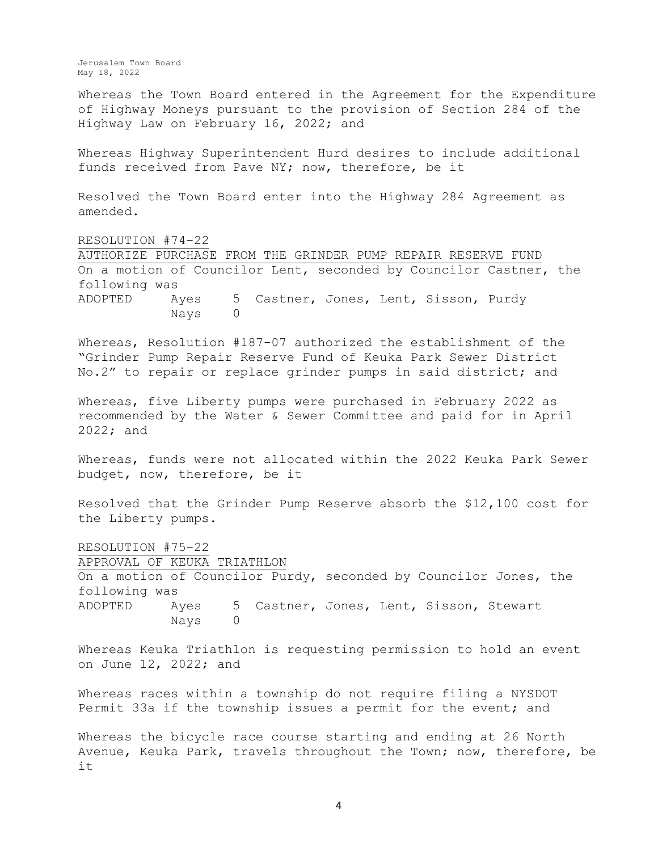Whereas the Town Board entered in the Agreement for the Expenditure of Highway Moneys pursuant to the provision of Section 284 of the Highway Law on February 16, 2022; and

Whereas Highway Superintendent Hurd desires to include additional funds received from Pave NY; now, therefore, be it

Resolved the Town Board enter into the Highway 284 Agreement as amended.

RESOLUTION #74-22 AUTHORIZE PURCHASE FROM THE GRINDER PUMP REPAIR RESERVE FUND On a motion of Councilor Lent, seconded by Councilor Castner, the following was ADOPTED Ayes 5 Castner, Jones, Lent, Sisson, Purdy Nays 0

Whereas, Resolution #187-07 authorized the establishment of the "Grinder Pump Repair Reserve Fund of Keuka Park Sewer District No.2" to repair or replace grinder pumps in said district; and

Whereas, five Liberty pumps were purchased in February 2022 as recommended by the Water & Sewer Committee and paid for in April 2022; and

Whereas, funds were not allocated within the 2022 Keuka Park Sewer budget, now, therefore, be it

Resolved that the Grinder Pump Reserve absorb the \$12,100 cost for the Liberty pumps.

RESOLUTION #75-22 APPROVAL OF KEUKA TRIATHLON On a motion of Councilor Purdy, seconded by Councilor Jones, the following was ADOPTED Ayes 5 Castner, Jones, Lent, Sisson, Stewart Nays 0

Whereas Keuka Triathlon is requesting permission to hold an event on June 12, 2022; and

Whereas races within a township do not require filing a NYSDOT Permit 33a if the township issues a permit for the event; and

Whereas the bicycle race course starting and ending at 26 North Avenue, Keuka Park, travels throughout the Town; now, therefore, be it

4